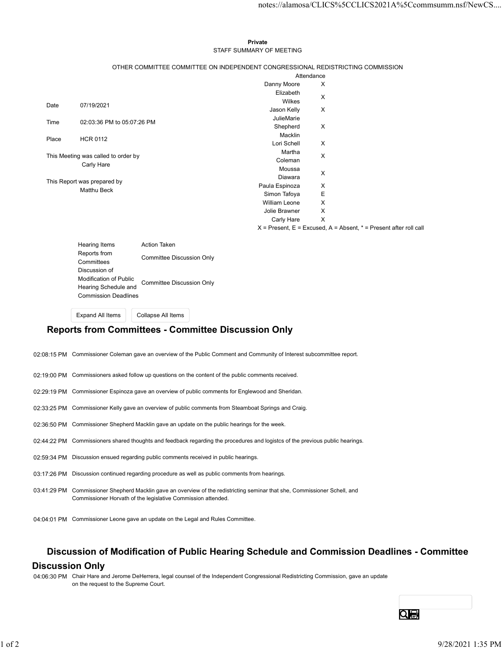#### Private **Private** and *Private* and *Private* and *Private* and *Private* and *Private* and *Private* and *Private* and *Private* and *Private* and *Private* and *Private* and *Private* and *Private* and *Private* and *Pri* STAFF SUMMARY OF MEETING

|                             |                                         |                                                                                 |                                | notes://alamosa/CLICS%5CCLICS2021A%5Ccommsumm.nsf/NewCS                   |  |
|-----------------------------|-----------------------------------------|---------------------------------------------------------------------------------|--------------------------------|---------------------------------------------------------------------------|--|
|                             |                                         |                                                                                 |                                |                                                                           |  |
|                             |                                         |                                                                                 |                                |                                                                           |  |
|                             |                                         |                                                                                 |                                |                                                                           |  |
|                             |                                         |                                                                                 | Private                        |                                                                           |  |
|                             |                                         |                                                                                 | STAFF SUMMARY OF MEETING       |                                                                           |  |
|                             |                                         | OTHER COMMITTEE COMMITTEE ON INDEPENDENT CONGRESSIONAL REDISTRICTING COMMISSION |                                |                                                                           |  |
|                             |                                         |                                                                                 |                                | Attendance                                                                |  |
|                             |                                         |                                                                                 | Danny Moore                    | X                                                                         |  |
|                             |                                         |                                                                                 | Elizabeth                      | X                                                                         |  |
| Date                        | 07/19/2021                              |                                                                                 | Wilkes                         |                                                                           |  |
|                             |                                         |                                                                                 | Jason Kelly                    | X                                                                         |  |
| Time                        | 02:03:36 PM to 05:07:26 PM              |                                                                                 | JulieMarie                     |                                                                           |  |
|                             |                                         |                                                                                 | Shepherd<br>Macklin            | X                                                                         |  |
| Place                       | <b>HCR 0112</b>                         |                                                                                 | Lori Schell                    | X                                                                         |  |
|                             |                                         |                                                                                 | Martha                         |                                                                           |  |
|                             | This Meeting was called to order by     |                                                                                 | Coleman                        | X                                                                         |  |
|                             | Carly Hare                              |                                                                                 | Moussa                         | X                                                                         |  |
| This Report was prepared by |                                         |                                                                                 | Diawara                        |                                                                           |  |
|                             | Matthu Beck                             |                                                                                 | Paula Espinoza                 | X                                                                         |  |
|                             |                                         |                                                                                 | Simon Tafoya                   | $\mathsf E$                                                               |  |
|                             |                                         |                                                                                 | William Leone<br>Jolie Brawner | $\sf X$<br>$\boldsymbol{\mathsf{X}}$                                      |  |
|                             |                                         |                                                                                 | Carly Hare                     | $\mathsf{X}$                                                              |  |
|                             |                                         |                                                                                 |                                | $X =$ Present, $E =$ Excused, $A =$ Absent, $* =$ Present after roll call |  |
|                             |                                         |                                                                                 |                                |                                                                           |  |
|                             | Hearing Items                           | Action Taken                                                                    |                                |                                                                           |  |
|                             | Reports from                            | <b>Committee Discussion Only</b>                                                |                                |                                                                           |  |
|                             | Committees                              |                                                                                 |                                |                                                                           |  |
|                             | Discussion of<br>Modification of Public |                                                                                 |                                |                                                                           |  |
|                             | Hearing Schedule and                    | <b>Committee Discussion Only</b>                                                |                                |                                                                           |  |
|                             |                                         | <b>Commission Deadlines</b>                                                     |                                |                                                                           |  |

Expand All Items Collapse All Items

# Reports from Committees - Committee Discussion Only

- 02:08:15 PM Commissioner Coleman gave an overview of the Public Comment and Community of Interest subcommittee report.
- 02:19:00 PM Commissioners asked follow up questions on the content of the public comments received.
- 02:29:19 PM Commissioner Espinoza gave an overview of public comments for Englewood and Sheridan.
- 02:33:25 PM Commissioner Kelly gave an overview of public comments from Steamboat Springs and Craig.
- 02:36:50 PM Commissioner Shepherd Macklin gave an update on the public hearings for the week.
- 02:44:22 PM Commissioners shared thoughts and feedback regarding the procedures and logistcs of the previous public hearings.
- 02:59:34 PM Discussion ensued regarding public comments received in public hearings.
- 03:17:26 PM Discussion continued regarding procedure as well as public comments from hearings.
- 03:41:29 PM Commissioner Shepherd Macklin gave an overview of the redistricting seminar that she, Commissioner Schell, and Commissioner Horvath of the legislative Commission attended.
- 04:04:01 PM Commissioner Leone gave an update on the Legal and Rules Committee.

## Discussion of Modification of Public Hearing Schedule and Commission Deadlines - Committee

### Discussion Only

04:06:30 PM Chair Hare and Jerome DeHerrera, legal counsel of the Independent Congressional Redistricting Commission, gave an update on the request to the Supreme Court. 024422 PM Commissioners shared thoughts and feedback regarding the procedures and logitics of the previous public hearings.<br>
12:59:34 PM Discussion continued regarding public comments received in public hearings.<br>
13:17:26